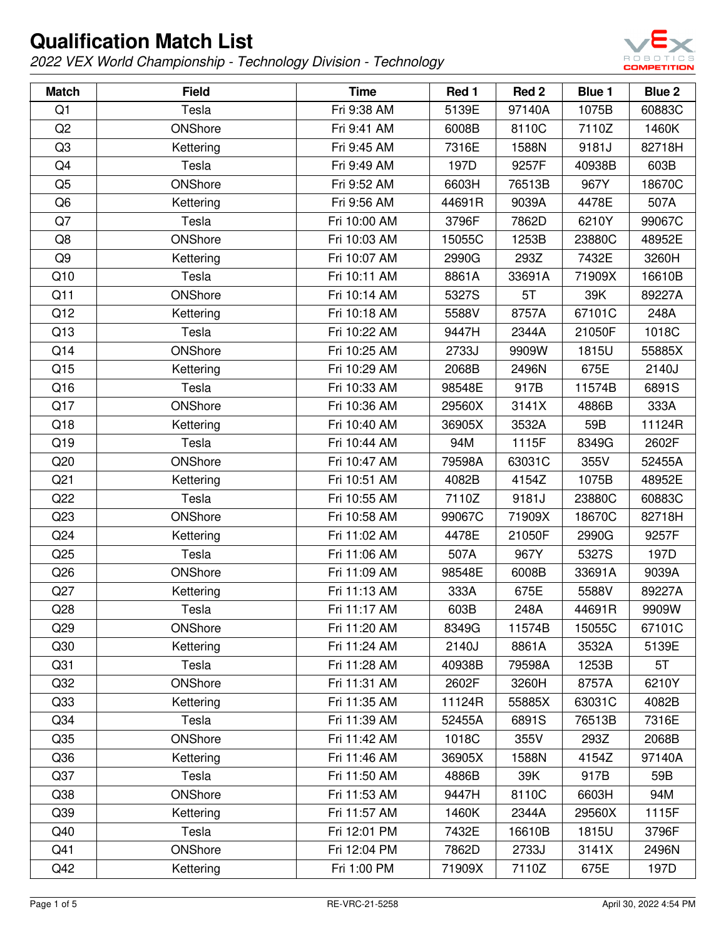

| <b>Match</b>    | <b>Field</b> | <b>Time</b>  | Red 1  | Red 2  | <b>Blue 1</b> | Blue 2 |
|-----------------|--------------|--------------|--------|--------|---------------|--------|
| Q1              | Tesla        | Fri 9:38 AM  | 5139E  | 97140A | 1075B         | 60883C |
| Q <sub>2</sub>  | ONShore      | Fri 9:41 AM  | 6008B  | 8110C  | 7110Z         | 1460K  |
| Q <sub>3</sub>  | Kettering    | Fri 9:45 AM  | 7316E  | 1588N  | 9181J         | 82718H |
| Q4              | Tesla        | Fri 9:49 AM  | 197D   | 9257F  | 40938B        | 603B   |
| Q <sub>5</sub>  | ONShore      | Fri 9:52 AM  | 6603H  | 76513B | 967Y          | 18670C |
| Q <sub>6</sub>  | Kettering    | Fri 9:56 AM  | 44691R | 9039A  | 4478E         | 507A   |
| Q7              | Tesla        | Fri 10:00 AM | 3796F  | 7862D  | 6210Y         | 99067C |
| Q8              | ONShore      | Fri 10:03 AM | 15055C | 1253B  | 23880C        | 48952E |
| Q9              | Kettering    | Fri 10:07 AM | 2990G  | 293Z   | 7432E         | 3260H  |
| Q10             | Tesla        | Fri 10:11 AM | 8861A  | 33691A | 71909X        | 16610B |
| Q11             | ONShore      | Fri 10:14 AM | 5327S  | 5T     | 39K           | 89227A |
| Q12             | Kettering    | Fri 10:18 AM | 5588V  | 8757A  | 67101C        | 248A   |
| Q13             | Tesla        | Fri 10:22 AM | 9447H  | 2344A  | 21050F        | 1018C  |
| Q14             | ONShore      | Fri 10:25 AM | 2733J  | 9909W  | 1815U         | 55885X |
| Q15             | Kettering    | Fri 10:29 AM | 2068B  | 2496N  | 675E          | 2140J  |
| Q16             | Tesla        | Fri 10:33 AM | 98548E | 917B   | 11574B        | 6891S  |
| Q17             | ONShore      | Fri 10:36 AM | 29560X | 3141X  | 4886B         | 333A   |
| Q18             | Kettering    | Fri 10:40 AM | 36905X | 3532A  | 59B           | 11124R |
| Q19             | Tesla        | Fri 10:44 AM | 94M    | 1115F  | 8349G         | 2602F  |
| Q20             | ONShore      | Fri 10:47 AM | 79598A | 63031C | 355V          | 52455A |
| Q <sub>21</sub> | Kettering    | Fri 10:51 AM | 4082B  | 4154Z  | 1075B         | 48952E |
| Q22             | Tesla        | Fri 10:55 AM | 7110Z  | 9181J  | 23880C        | 60883C |
| Q23             | ONShore      | Fri 10:58 AM | 99067C | 71909X | 18670C        | 82718H |
| Q24             | Kettering    | Fri 11:02 AM | 4478E  | 21050F | 2990G         | 9257F  |
| Q25             | Tesla        | Fri 11:06 AM | 507A   | 967Y   | 5327S         | 197D   |
| Q26             | ONShore      | Fri 11:09 AM | 98548E | 6008B  | 33691A        | 9039A  |
| Q27             | Kettering    | Fri 11:13 AM | 333A   | 675E   | 5588V         | 89227A |
| Q28             | Tesla        | Fri 11:17 AM | 603B   | 248A   | 44691R        | 9909W  |
| Q29             | ONShore      | Fri 11:20 AM | 8349G  | 11574B | 15055C        | 67101C |
| Q30             | Kettering    | Fri 11:24 AM | 2140J  | 8861A  | 3532A         | 5139E  |
| Q <sub>31</sub> | Tesla        | Fri 11:28 AM | 40938B | 79598A | 1253B         | 5T     |
| Q <sub>32</sub> | ONShore      | Fri 11:31 AM | 2602F  | 3260H  | 8757A         | 6210Y  |
| Q33             | Kettering    | Fri 11:35 AM | 11124R | 55885X | 63031C        | 4082B  |
| Q34             | Tesla        | Fri 11:39 AM | 52455A | 6891S  | 76513B        | 7316E  |
| Q35             | ONShore      | Fri 11:42 AM | 1018C  | 355V   | 293Z          | 2068B  |
| Q36             | Kettering    | Fri 11:46 AM | 36905X | 1588N  | 4154Z         | 97140A |
| Q37             | Tesla        | Fri 11:50 AM | 4886B  | 39K    | 917B          | 59B    |
| Q <sub>38</sub> | ONShore      | Fri 11:53 AM | 9447H  | 8110C  | 6603H         | 94M    |
| Q39             | Kettering    | Fri 11:57 AM | 1460K  | 2344A  | 29560X        | 1115F  |
| Q40             | Tesla        | Fri 12:01 PM | 7432E  | 16610B | 1815U         | 3796F  |
| Q41             | ONShore      | Fri 12:04 PM | 7862D  | 2733J  | 3141X         | 2496N  |
| Q42             | Kettering    | Fri 1:00 PM  | 71909X | 7110Z  | 675E          | 197D   |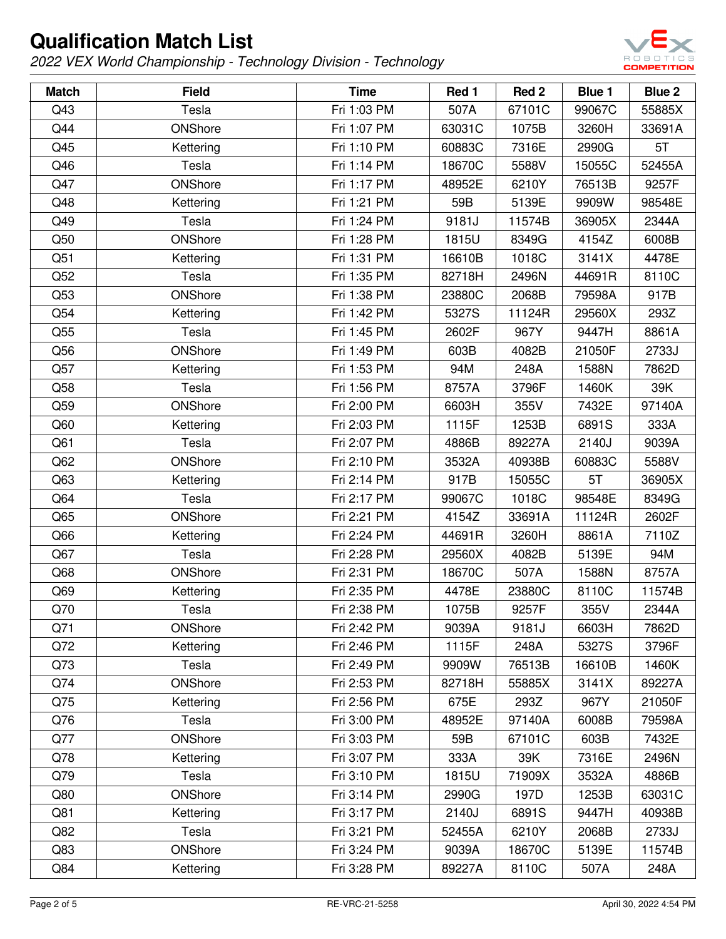

| <b>Match</b> | <b>Field</b> | <b>Time</b> | Red 1  | Red <sub>2</sub> | Blue 1 | Blue 2 |
|--------------|--------------|-------------|--------|------------------|--------|--------|
| Q43          | Tesla        | Fri 1:03 PM | 507A   | 67101C           | 99067C | 55885X |
| Q44          | ONShore      | Fri 1:07 PM | 63031C | 1075B            | 3260H  | 33691A |
| Q45          | Kettering    | Fri 1:10 PM | 60883C | 7316E            | 2990G  | 5T     |
| Q46          | Tesla        | Fri 1:14 PM | 18670C | 5588V            | 15055C | 52455A |
| Q47          | ONShore      | Fri 1:17 PM | 48952E | 6210Y            | 76513B | 9257F  |
| Q48          | Kettering    | Fri 1:21 PM | 59B    | 5139E            | 9909W  | 98548E |
| Q49          | Tesla        | Fri 1:24 PM | 9181J  | 11574B           | 36905X | 2344A  |
| Q50          | ONShore      | Fri 1:28 PM | 1815U  | 8349G            | 4154Z  | 6008B  |
| Q51          | Kettering    | Fri 1:31 PM | 16610B | 1018C            | 3141X  | 4478E  |
| Q52          | Tesla        | Fri 1:35 PM | 82718H | 2496N            | 44691R | 8110C  |
| Q53          | ONShore      | Fri 1:38 PM | 23880C | 2068B            | 79598A | 917B   |
| Q54          | Kettering    | Fri 1:42 PM | 5327S  | 11124R           | 29560X | 293Z   |
| Q55          | Tesla        | Fri 1:45 PM | 2602F  | 967Y             | 9447H  | 8861A  |
| Q56          | ONShore      | Fri 1:49 PM | 603B   | 4082B            | 21050F | 2733J  |
| Q57          | Kettering    | Fri 1:53 PM | 94M    | 248A             | 1588N  | 7862D  |
| Q58          | Tesla        | Fri 1:56 PM | 8757A  | 3796F            | 1460K  | 39K    |
| Q59          | ONShore      | Fri 2:00 PM | 6603H  | 355V             | 7432E  | 97140A |
| Q60          | Kettering    | Fri 2:03 PM | 1115F  | 1253B            | 6891S  | 333A   |
| Q61          | Tesla        | Fri 2:07 PM | 4886B  | 89227A           | 2140J  | 9039A  |
| Q62          | ONShore      | Fri 2:10 PM | 3532A  | 40938B           | 60883C | 5588V  |
| Q63          | Kettering    | Fri 2:14 PM | 917B   | 15055C           | 5T     | 36905X |
| Q64          | Tesla        | Fri 2:17 PM | 99067C | 1018C            | 98548E | 8349G  |
| Q65          | ONShore      | Fri 2:21 PM | 4154Z  | 33691A           | 11124R | 2602F  |
| Q66          | Kettering    | Fri 2:24 PM | 44691R | 3260H            | 8861A  | 7110Z  |
| Q67          | Tesla        | Fri 2:28 PM | 29560X | 4082B            | 5139E  | 94M    |
| Q68          | ONShore      | Fri 2:31 PM | 18670C | 507A             | 1588N  | 8757A  |
| Q69          | Kettering    | Fri 2:35 PM | 4478E  | 23880C           | 8110C  | 11574B |
| Q70          | Tesla        | Fri 2:38 PM | 1075B  | 9257F            | 355V   | 2344A  |
| Q71          | ONShore      | Fri 2:42 PM | 9039A  | 9181J            | 6603H  | 7862D  |
| Q72          | Kettering    | Fri 2:46 PM | 1115F  | 248A             | 5327S  | 3796F  |
| Q73          | Tesla        | Fri 2:49 PM | 9909W  | 76513B           | 16610B | 1460K  |
| Q74          | ONShore      | Fri 2:53 PM | 82718H | 55885X           | 3141X  | 89227A |
| Q75          | Kettering    | Fri 2:56 PM | 675E   | 293Z             | 967Y   | 21050F |
| Q76          | Tesla        | Fri 3:00 PM | 48952E | 97140A           | 6008B  | 79598A |
| Q77          | ONShore      | Fri 3:03 PM | 59B    | 67101C           | 603B   | 7432E  |
| Q78          | Kettering    | Fri 3:07 PM | 333A   | 39K              | 7316E  | 2496N  |
| Q79          | Tesla        | Fri 3:10 PM | 1815U  | 71909X           | 3532A  | 4886B  |
| Q80          | ONShore      | Fri 3:14 PM | 2990G  | 197D             | 1253B  | 63031C |
| Q81          | Kettering    | Fri 3:17 PM | 2140J  | 6891S            | 9447H  | 40938B |
| Q82          | Tesla        | Fri 3:21 PM | 52455A | 6210Y            | 2068B  | 2733J  |
| Q83          | ONShore      | Fri 3:24 PM | 9039A  | 18670C           | 5139E  | 11574B |
| Q84          | Kettering    | Fri 3:28 PM | 89227A | 8110C            | 507A   | 248A   |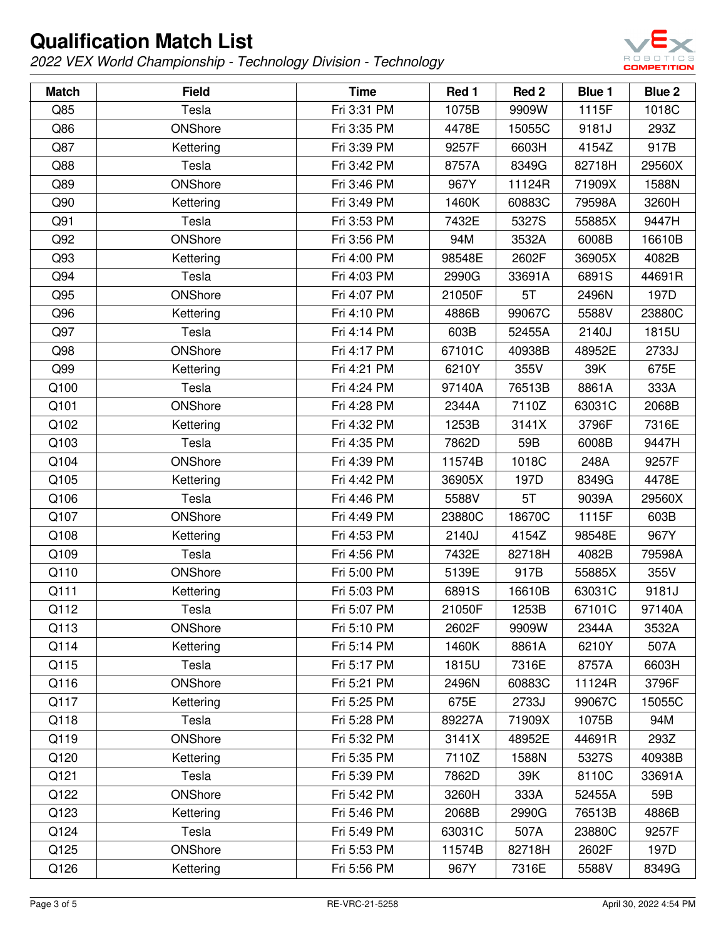

| <b>Match</b> | <b>Field</b> | <b>Time</b> | Red 1  | Red <sub>2</sub> | <b>Blue 1</b> | <b>Blue 2</b> |
|--------------|--------------|-------------|--------|------------------|---------------|---------------|
| Q85          | Tesla        | Fri 3:31 PM | 1075B  | 9909W            | 1115F         | 1018C         |
| Q86          | ONShore      | Fri 3:35 PM | 4478E  | 15055C           | 9181J         | 293Z          |
| Q87          | Kettering    | Fri 3:39 PM | 9257F  | 6603H            | 4154Z         | 917B          |
| Q88          | Tesla        | Fri 3:42 PM | 8757A  | 8349G            | 82718H        | 29560X        |
| Q89          | ONShore      | Fri 3:46 PM | 967Y   | 11124R           | 71909X        | 1588N         |
| Q90          | Kettering    | Fri 3:49 PM | 1460K  | 60883C           | 79598A        | 3260H         |
| Q91          | Tesla        | Fri 3:53 PM | 7432E  | 5327S            | 55885X        | 9447H         |
| Q92          | ONShore      | Fri 3:56 PM | 94M    | 3532A            | 6008B         | 16610B        |
| Q93          | Kettering    | Fri 4:00 PM | 98548E | 2602F            | 36905X        | 4082B         |
| Q94          | Tesla        | Fri 4:03 PM | 2990G  | 33691A           | 6891S         | 44691R        |
| Q95          | ONShore      | Fri 4:07 PM | 21050F | 5T               | 2496N         | 197D          |
| Q96          | Kettering    | Fri 4:10 PM | 4886B  | 99067C           | 5588V         | 23880C        |
| Q97          | Tesla        | Fri 4:14 PM | 603B   | 52455A           | 2140J         | 1815U         |
| Q98          | ONShore      | Fri 4:17 PM | 67101C | 40938B           | 48952E        | 2733J         |
| Q99          | Kettering    | Fri 4:21 PM | 6210Y  | 355V             | 39K           | 675E          |
| Q100         | Tesla        | Fri 4:24 PM | 97140A | 76513B           | 8861A         | 333A          |
| Q101         | ONShore      | Fri 4:28 PM | 2344A  | 7110Z            | 63031C        | 2068B         |
| Q102         | Kettering    | Fri 4:32 PM | 1253B  | 3141X            | 3796F         | 7316E         |
| Q103         | Tesla        | Fri 4:35 PM | 7862D  | 59B              | 6008B         | 9447H         |
| Q104         | ONShore      | Fri 4:39 PM | 11574B | 1018C            | 248A          | 9257F         |
| Q105         | Kettering    | Fri 4:42 PM | 36905X | 197D             | 8349G         | 4478E         |
| Q106         | Tesla        | Fri 4:46 PM | 5588V  | 5T               | 9039A         | 29560X        |
| Q107         | ONShore      | Fri 4:49 PM | 23880C | 18670C           | 1115F         | 603B          |
| Q108         | Kettering    | Fri 4:53 PM | 2140J  | 4154Z            | 98548E        | 967Y          |
| Q109         | Tesla        | Fri 4:56 PM | 7432E  | 82718H           | 4082B         | 79598A        |
| Q110         | ONShore      | Fri 5:00 PM | 5139E  | 917B             | 55885X        | 355V          |
| Q111         | Kettering    | Fri 5:03 PM | 6891S  | 16610B           | 63031C        | 9181J         |
| Q112         | Tesla        | Fri 5:07 PM | 21050F | 1253B            | 67101C        | 97140A        |
| Q113         | ONShore      | Fri 5:10 PM | 2602F  | 9909W            | 2344A         | 3532A         |
| Q114         | Kettering    | Fri 5:14 PM | 1460K  | 8861A            | 6210Y         | 507A          |
| Q115         | Tesla        | Fri 5:17 PM | 1815U  | 7316E            | 8757A         | 6603H         |
| Q116         | ONShore      | Fri 5:21 PM | 2496N  | 60883C           | 11124R        | 3796F         |
| Q117         | Kettering    | Fri 5:25 PM | 675E   | 2733J            | 99067C        | 15055C        |
| Q118         | Tesla        | Fri 5:28 PM | 89227A | 71909X           | 1075B         | 94M           |
| Q119         | ONShore      | Fri 5:32 PM | 3141X  | 48952E           | 44691R        | 293Z          |
| Q120         | Kettering    | Fri 5:35 PM | 7110Z  | 1588N            | 5327S         | 40938B        |
| Q121         | Tesla        | Fri 5:39 PM | 7862D  | 39K              | 8110C         | 33691A        |
| Q122         | ONShore      | Fri 5:42 PM | 3260H  | 333A             | 52455A        | 59B           |
| Q123         | Kettering    | Fri 5:46 PM | 2068B  | 2990G            | 76513B        | 4886B         |
| Q124         | Tesla        | Fri 5:49 PM | 63031C | 507A             | 23880C        | 9257F         |
| Q125         | ONShore      | Fri 5:53 PM | 11574B | 82718H           | 2602F         | 197D          |
| Q126         | Kettering    | Fri 5:56 PM | 967Y   | 7316E            | 5588V         | 8349G         |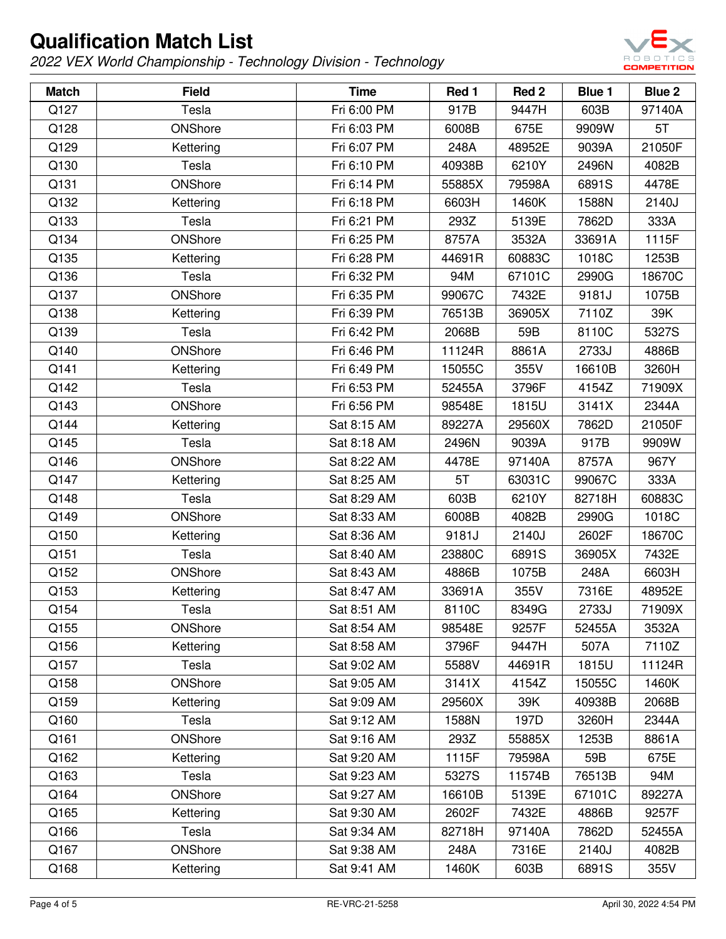

| <b>Match</b> | <b>Field</b> | <b>Time</b> | Red 1  | Red 2  | <b>Blue 1</b> | <b>Blue 2</b> |
|--------------|--------------|-------------|--------|--------|---------------|---------------|
| Q127         | Tesla        | Fri 6:00 PM | 917B   | 9447H  | 603B          | 97140A        |
| Q128         | ONShore      | Fri 6:03 PM | 6008B  | 675E   | 9909W         | 5T            |
| Q129         | Kettering    | Fri 6:07 PM | 248A   | 48952E | 9039A         | 21050F        |
| Q130         | Tesla        | Fri 6:10 PM | 40938B | 6210Y  | 2496N         | 4082B         |
| Q131         | ONShore      | Fri 6:14 PM | 55885X | 79598A | 6891S         | 4478E         |
| Q132         | Kettering    | Fri 6:18 PM | 6603H  | 1460K  | 1588N         | 2140J         |
| Q133         | Tesla        | Fri 6:21 PM | 293Z   | 5139E  | 7862D         | 333A          |
| Q134         | ONShore      | Fri 6:25 PM | 8757A  | 3532A  | 33691A        | 1115F         |
| Q135         | Kettering    | Fri 6:28 PM | 44691R | 60883C | 1018C         | 1253B         |
| Q136         | Tesla        | Fri 6:32 PM | 94M    | 67101C | 2990G         | 18670C        |
| Q137         | ONShore      | Fri 6:35 PM | 99067C | 7432E  | 9181J         | 1075B         |
| Q138         | Kettering    | Fri 6:39 PM | 76513B | 36905X | 7110Z         | 39K           |
| Q139         | Tesla        | Fri 6:42 PM | 2068B  | 59B    | 8110C         | 5327S         |
| Q140         | ONShore      | Fri 6:46 PM | 11124R | 8861A  | 2733J         | 4886B         |
| Q141         | Kettering    | Fri 6:49 PM | 15055C | 355V   | 16610B        | 3260H         |
| Q142         | Tesla        | Fri 6:53 PM | 52455A | 3796F  | 4154Z         | 71909X        |
| Q143         | ONShore      | Fri 6:56 PM | 98548E | 1815U  | 3141X         | 2344A         |
| Q144         | Kettering    | Sat 8:15 AM | 89227A | 29560X | 7862D         | 21050F        |
| Q145         | Tesla        | Sat 8:18 AM | 2496N  | 9039A  | 917B          | 9909W         |
| Q146         | ONShore      | Sat 8:22 AM | 4478E  | 97140A | 8757A         | 967Y          |
| Q147         | Kettering    | Sat 8:25 AM | 5T     | 63031C | 99067C        | 333A          |
| Q148         | Tesla        | Sat 8:29 AM | 603B   | 6210Y  | 82718H        | 60883C        |
| Q149         | ONShore      | Sat 8:33 AM | 6008B  | 4082B  | 2990G         | 1018C         |
| Q150         | Kettering    | Sat 8:36 AM | 9181J  | 2140J  | 2602F         | 18670C        |
| Q151         | Tesla        | Sat 8:40 AM | 23880C | 6891S  | 36905X        | 7432E         |
| Q152         | ONShore      | Sat 8:43 AM | 4886B  | 1075B  | 248A          | 6603H         |
| Q153         | Kettering    | Sat 8:47 AM | 33691A | 355V   | 7316E         | 48952E        |
| Q154         | Tesla        | Sat 8:51 AM | 8110C  | 8349G  | 2733J         | 71909X        |
| Q155         | ONShore      | Sat 8:54 AM | 98548E | 9257F  | 52455A        | 3532A         |
| Q156         | Kettering    | Sat 8:58 AM | 3796F  | 9447H  | 507A          | 7110Z         |
| Q157         | Tesla        | Sat 9:02 AM | 5588V  | 44691R | 1815U         | 11124R        |
| Q158         | ONShore      | Sat 9:05 AM | 3141X  | 4154Z  | 15055C        | 1460K         |
| Q159         | Kettering    | Sat 9:09 AM | 29560X | 39K    | 40938B        | 2068B         |
| Q160         | Tesla        | Sat 9:12 AM | 1588N  | 197D   | 3260H         | 2344A         |
| Q161         | ONShore      | Sat 9:16 AM | 293Z   | 55885X | 1253B         | 8861A         |
| Q162         | Kettering    | Sat 9:20 AM | 1115F  | 79598A | 59B           | 675E          |
| Q163         | Tesla        | Sat 9:23 AM | 5327S  | 11574B | 76513B        | 94M           |
| Q164         | ONShore      | Sat 9:27 AM | 16610B | 5139E  | 67101C        | 89227A        |
| Q165         | Kettering    | Sat 9:30 AM | 2602F  | 7432E  | 4886B         | 9257F         |
| Q166         | Tesla        | Sat 9:34 AM | 82718H | 97140A | 7862D         | 52455A        |
| Q167         | ONShore      | Sat 9:38 AM | 248A   | 7316E  | 2140J         | 4082B         |
| Q168         | Kettering    | Sat 9:41 AM | 1460K  | 603B   | 6891S         | 355V          |